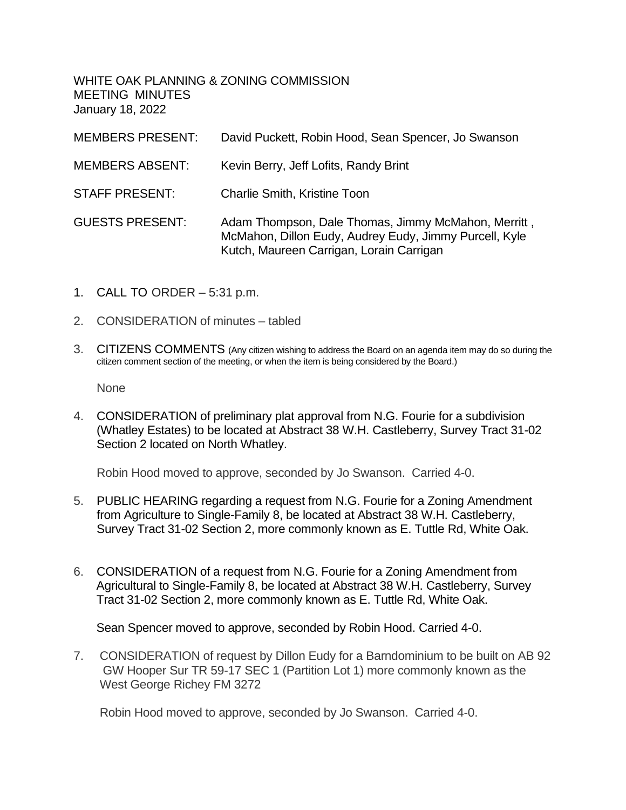WHITE OAK PLANNING & ZONING COMMISSION MEETING MINUTES January 18, 2022

| <b>MEMBERS PRESENT:</b> | David Puckett, Robin Hood, Sean Spencer, Jo Swanson                                                                                                       |
|-------------------------|-----------------------------------------------------------------------------------------------------------------------------------------------------------|
| <b>MEMBERS ABSENT:</b>  | Kevin Berry, Jeff Lofits, Randy Brint                                                                                                                     |
| <b>STAFF PRESENT:</b>   | <b>Charlie Smith, Kristine Toon</b>                                                                                                                       |
| <b>GUESTS PRESENT:</b>  | Adam Thompson, Dale Thomas, Jimmy McMahon, Merritt,<br>McMahon, Dillon Eudy, Audrey Eudy, Jimmy Purcell, Kyle<br>Kutch, Maureen Carrigan, Lorain Carrigan |

- 1. CALL TO ORDER 5:31 p.m.
- 2. CONSIDERATION of minutes tabled
- 3. CITIZENS COMMENTS (Any citizen wishing to address the Board on an agenda item may do so during the citizen comment section of the meeting, or when the item is being considered by the Board.)

None

4. CONSIDERATION of preliminary plat approval from N.G. Fourie for a subdivision (Whatley Estates) to be located at Abstract 38 W.H. Castleberry, Survey Tract 31-02 Section 2 located on North Whatley.

Robin Hood moved to approve, seconded by Jo Swanson. Carried 4-0.

- 5. PUBLIC HEARING regarding a request from N.G. Fourie for a Zoning Amendment from Agriculture to Single-Family 8, be located at Abstract 38 W.H. Castleberry, Survey Tract 31-02 Section 2, more commonly known as E. Tuttle Rd, White Oak.
- 6. CONSIDERATION of a request from N.G. Fourie for a Zoning Amendment from Agricultural to Single-Family 8, be located at Abstract 38 W.H. Castleberry, Survey Tract 31-02 Section 2, more commonly known as E. Tuttle Rd, White Oak.

Sean Spencer moved to approve, seconded by Robin Hood. Carried 4-0.

7. CONSIDERATION of request by Dillon Eudy for a Barndominium to be built on AB 92 GW Hooper Sur TR 59-17 SEC 1 (Partition Lot 1) more commonly known as the West George Richey FM 3272

Robin Hood moved to approve, seconded by Jo Swanson. Carried 4-0.